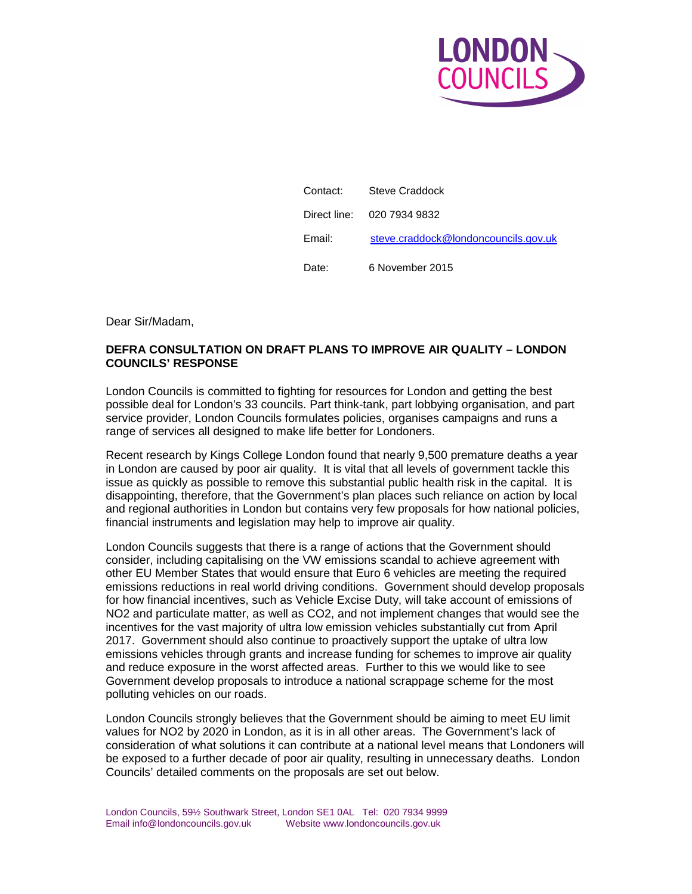

| Contact: | Steve Craddock                       |
|----------|--------------------------------------|
|          | Direct line: 020 7934 9832           |
| Email:   | steve.craddock@londoncouncils.gov.uk |
| Date:    | 6 November 2015                      |

Dear Sir/Madam,

## **DEFRA CONSULTATION ON DRAFT PLANS TO IMPROVE AIR QUALITY – LONDON COUNCILS' RESPONSE**

London Councils is committed to fighting for resources for London and getting the best possible deal for London's 33 councils. Part think-tank, part lobbying organisation, and part service provider, London Councils formulates policies, organises campaigns and runs a range of services all designed to make life better for Londoners.

Recent research by Kings College London found that nearly 9,500 premature deaths a year in London are caused by poor air quality. It is vital that all levels of government tackle this issue as quickly as possible to remove this substantial public health risk in the capital. It is disappointing, therefore, that the Government's plan places such reliance on action by local and regional authorities in London but contains very few proposals for how national policies, financial instruments and legislation may help to improve air quality.

London Councils suggests that there is a range of actions that the Government should consider, including capitalising on the VW emissions scandal to achieve agreement with other EU Member States that would ensure that Euro 6 vehicles are meeting the required emissions reductions in real world driving conditions. Government should develop proposals for how financial incentives, such as Vehicle Excise Duty, will take account of emissions of NO2 and particulate matter, as well as CO2, and not implement changes that would see the incentives for the vast majority of ultra low emission vehicles substantially cut from April 2017. Government should also continue to proactively support the uptake of ultra low emissions vehicles through grants and increase funding for schemes to improve air quality and reduce exposure in the worst affected areas. Further to this we would like to see Government develop proposals to introduce a national scrappage scheme for the most polluting vehicles on our roads.

London Councils strongly believes that the Government should be aiming to meet EU limit values for NO2 by 2020 in London, as it is in all other areas. The Government's lack of consideration of what solutions it can contribute at a national level means that Londoners will be exposed to a further decade of poor air quality, resulting in unnecessary deaths. London Councils' detailed comments on the proposals are set out below.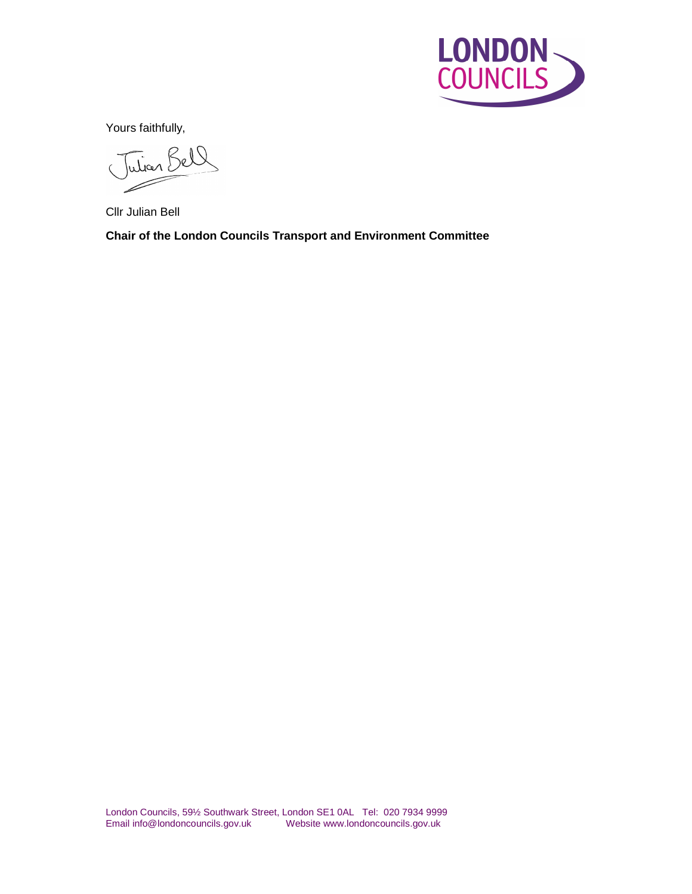

Yours faithfully,

Julian Bell  $\overline{C}$ 

Cllr Julian Bell

**Chair of the London Councils Transport and Environment Committee**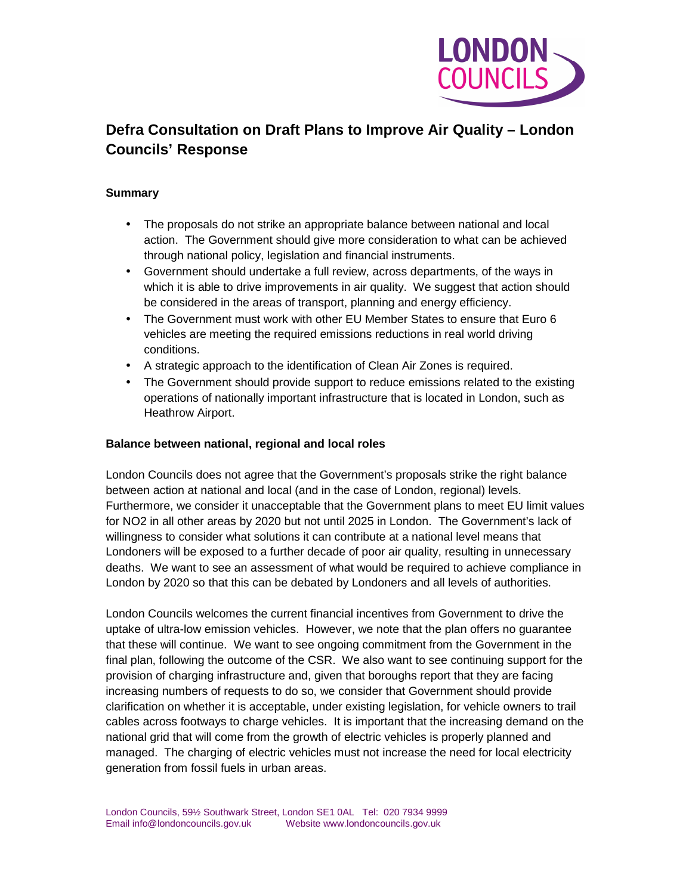

# **Defra Consultation on Draft Plans to Improve Air Quality – London Councils' Response**

## **Summary**

- The proposals do not strike an appropriate balance between national and local action. The Government should give more consideration to what can be achieved through national policy, legislation and financial instruments.
- Government should undertake a full review, across departments, of the ways in which it is able to drive improvements in air quality. We suggest that action should be considered in the areas of transport, planning and energy efficiency.
- The Government must work with other EU Member States to ensure that Euro 6 vehicles are meeting the required emissions reductions in real world driving conditions.
- A strategic approach to the identification of Clean Air Zones is required.
- The Government should provide support to reduce emissions related to the existing operations of nationally important infrastructure that is located in London, such as Heathrow Airport.

## **Balance between national, regional and local roles**

London Councils does not agree that the Government's proposals strike the right balance between action at national and local (and in the case of London, regional) levels. Furthermore, we consider it unacceptable that the Government plans to meet EU limit values for NO2 in all other areas by 2020 but not until 2025 in London. The Government's lack of willingness to consider what solutions it can contribute at a national level means that Londoners will be exposed to a further decade of poor air quality, resulting in unnecessary deaths. We want to see an assessment of what would be required to achieve compliance in London by 2020 so that this can be debated by Londoners and all levels of authorities.

London Councils welcomes the current financial incentives from Government to drive the uptake of ultra-low emission vehicles. However, we note that the plan offers no guarantee that these will continue. We want to see ongoing commitment from the Government in the final plan, following the outcome of the CSR. We also want to see continuing support for the provision of charging infrastructure and, given that boroughs report that they are facing increasing numbers of requests to do so, we consider that Government should provide clarification on whether it is acceptable, under existing legislation, for vehicle owners to trail cables across footways to charge vehicles. It is important that the increasing demand on the national grid that will come from the growth of electric vehicles is properly planned and managed. The charging of electric vehicles must not increase the need for local electricity generation from fossil fuels in urban areas.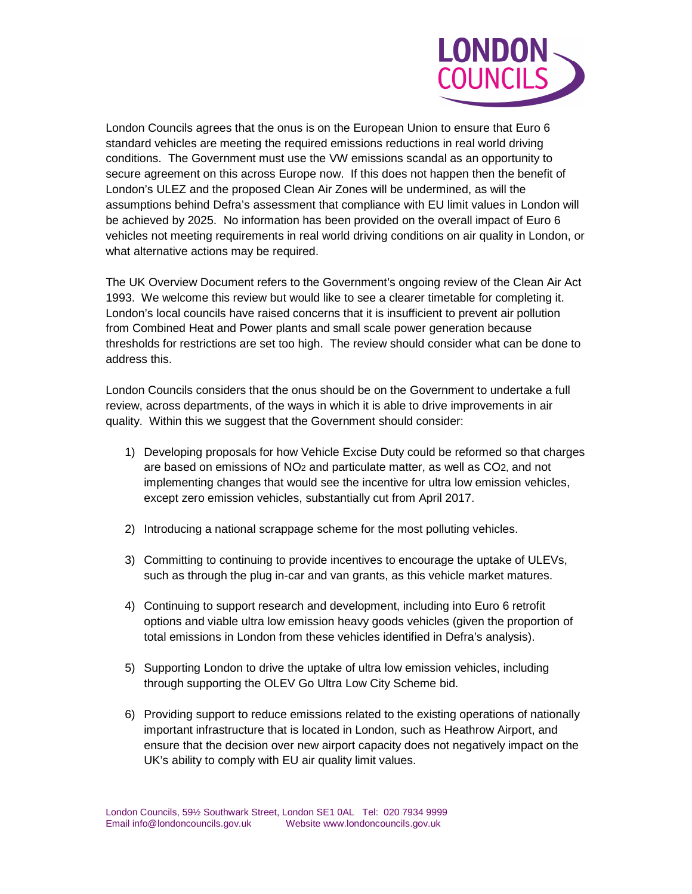

London Councils agrees that the onus is on the European Union to ensure that Euro 6 standard vehicles are meeting the required emissions reductions in real world driving conditions. The Government must use the VW emissions scandal as an opportunity to secure agreement on this across Europe now. If this does not happen then the benefit of London's ULEZ and the proposed Clean Air Zones will be undermined, as will the assumptions behind Defra's assessment that compliance with EU limit values in London will be achieved by 2025. No information has been provided on the overall impact of Euro 6 vehicles not meeting requirements in real world driving conditions on air quality in London, or what alternative actions may be required.

The UK Overview Document refers to the Government's ongoing review of the Clean Air Act 1993. We welcome this review but would like to see a clearer timetable for completing it. London's local councils have raised concerns that it is insufficient to prevent air pollution from Combined Heat and Power plants and small scale power generation because thresholds for restrictions are set too high. The review should consider what can be done to address this.

London Councils considers that the onus should be on the Government to undertake a full review, across departments, of the ways in which it is able to drive improvements in air quality. Within this we suggest that the Government should consider:

- 1) Developing proposals for how Vehicle Excise Duty could be reformed so that charges are based on emissions of NO2 and particulate matter, as well as CO2, and not implementing changes that would see the incentive for ultra low emission vehicles, except zero emission vehicles, substantially cut from April 2017.
- 2) Introducing a national scrappage scheme for the most polluting vehicles.
- 3) Committing to continuing to provide incentives to encourage the uptake of ULEVs, such as through the plug in-car and van grants, as this vehicle market matures.
- 4) Continuing to support research and development, including into Euro 6 retrofit options and viable ultra low emission heavy goods vehicles (given the proportion of total emissions in London from these vehicles identified in Defra's analysis).
- 5) Supporting London to drive the uptake of ultra low emission vehicles, including through supporting the OLEV Go Ultra Low City Scheme bid.
- 6) Providing support to reduce emissions related to the existing operations of nationally important infrastructure that is located in London, such as Heathrow Airport, and ensure that the decision over new airport capacity does not negatively impact on the UK's ability to comply with EU air quality limit values.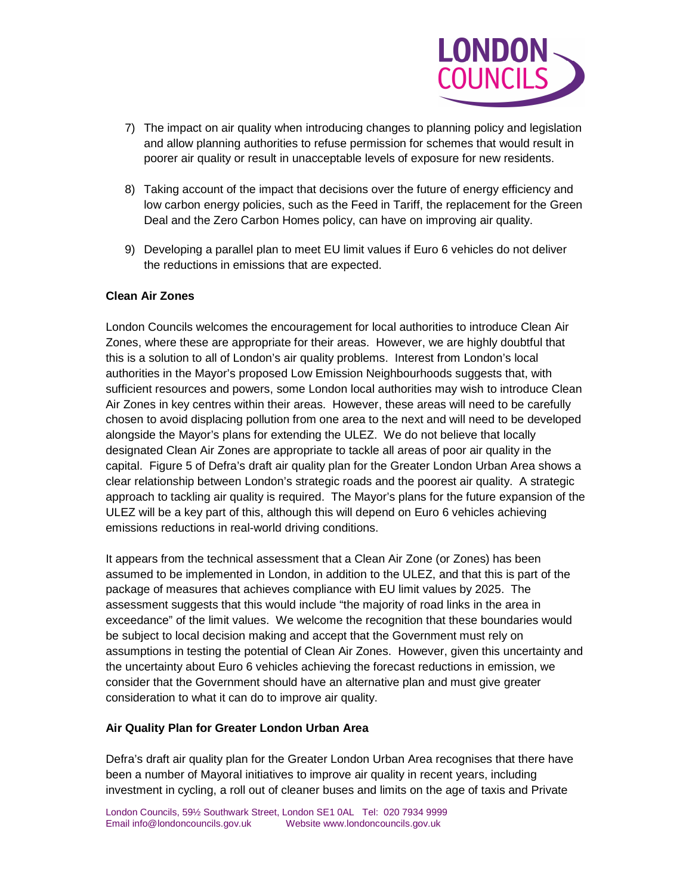

- 7) The impact on air quality when introducing changes to planning policy and legislation and allow planning authorities to refuse permission for schemes that would result in poorer air quality or result in unacceptable levels of exposure for new residents.
- 8) Taking account of the impact that decisions over the future of energy efficiency and low carbon energy policies, such as the Feed in Tariff, the replacement for the Green Deal and the Zero Carbon Homes policy, can have on improving air quality.
- 9) Developing a parallel plan to meet EU limit values if Euro 6 vehicles do not deliver the reductions in emissions that are expected.

### **Clean Air Zones**

London Councils welcomes the encouragement for local authorities to introduce Clean Air Zones, where these are appropriate for their areas. However, we are highly doubtful that this is a solution to all of London's air quality problems. Interest from London's local authorities in the Mayor's proposed Low Emission Neighbourhoods suggests that, with sufficient resources and powers, some London local authorities may wish to introduce Clean Air Zones in key centres within their areas. However, these areas will need to be carefully chosen to avoid displacing pollution from one area to the next and will need to be developed alongside the Mayor's plans for extending the ULEZ. We do not believe that locally designated Clean Air Zones are appropriate to tackle all areas of poor air quality in the capital. Figure 5 of Defra's draft air quality plan for the Greater London Urban Area shows a clear relationship between London's strategic roads and the poorest air quality. A strategic approach to tackling air quality is required. The Mayor's plans for the future expansion of the ULEZ will be a key part of this, although this will depend on Euro 6 vehicles achieving emissions reductions in real-world driving conditions.

It appears from the technical assessment that a Clean Air Zone (or Zones) has been assumed to be implemented in London, in addition to the ULEZ, and that this is part of the package of measures that achieves compliance with EU limit values by 2025. The assessment suggests that this would include "the majority of road links in the area in exceedance" of the limit values. We welcome the recognition that these boundaries would be subject to local decision making and accept that the Government must rely on assumptions in testing the potential of Clean Air Zones. However, given this uncertainty and the uncertainty about Euro 6 vehicles achieving the forecast reductions in emission, we consider that the Government should have an alternative plan and must give greater consideration to what it can do to improve air quality.

#### **Air Quality Plan for Greater London Urban Area**

Defra's draft air quality plan for the Greater London Urban Area recognises that there have been a number of Mayoral initiatives to improve air quality in recent years, including investment in cycling, a roll out of cleaner buses and limits on the age of taxis and Private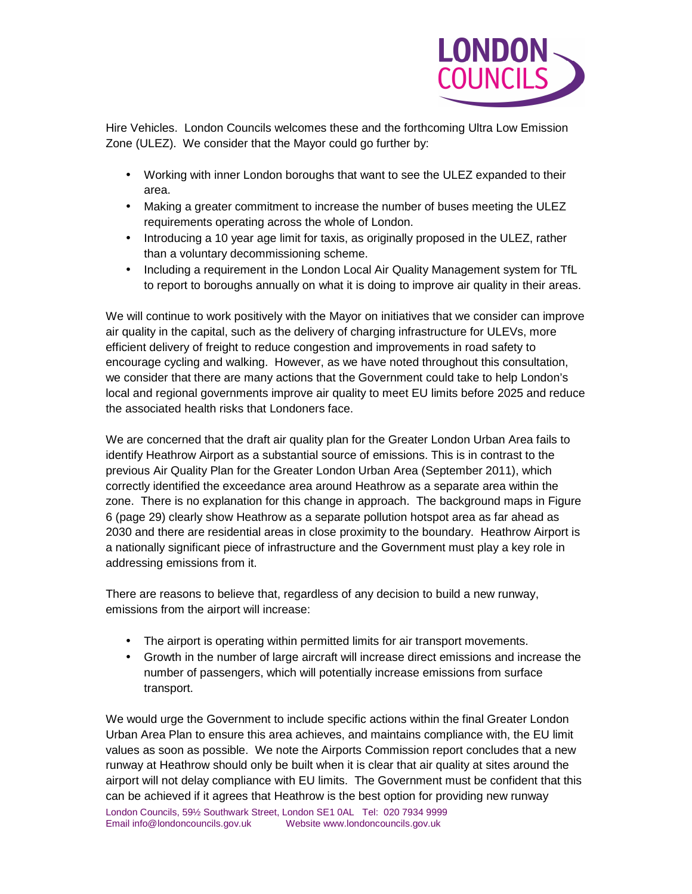

Hire Vehicles. London Councils welcomes these and the forthcoming Ultra Low Emission Zone (ULEZ). We consider that the Mayor could go further by:

- Working with inner London boroughs that want to see the ULEZ expanded to their area.
- Making a greater commitment to increase the number of buses meeting the ULEZ requirements operating across the whole of London.
- Introducing a 10 year age limit for taxis, as originally proposed in the ULEZ, rather than a voluntary decommissioning scheme.
- Including a requirement in the London Local Air Quality Management system for TfL to report to boroughs annually on what it is doing to improve air quality in their areas.

We will continue to work positively with the Mayor on initiatives that we consider can improve air quality in the capital, such as the delivery of charging infrastructure for ULEVs, more efficient delivery of freight to reduce congestion and improvements in road safety to encourage cycling and walking. However, as we have noted throughout this consultation, we consider that there are many actions that the Government could take to help London's local and regional governments improve air quality to meet EU limits before 2025 and reduce the associated health risks that Londoners face.

We are concerned that the draft air quality plan for the Greater London Urban Area fails to identify Heathrow Airport as a substantial source of emissions. This is in contrast to the previous Air Quality Plan for the Greater London Urban Area (September 2011), which correctly identified the exceedance area around Heathrow as a separate area within the zone. There is no explanation for this change in approach. The background maps in Figure 6 (page 29) clearly show Heathrow as a separate pollution hotspot area as far ahead as 2030 and there are residential areas in close proximity to the boundary. Heathrow Airport is a nationally significant piece of infrastructure and the Government must play a key role in addressing emissions from it.

There are reasons to believe that, regardless of any decision to build a new runway, emissions from the airport will increase:

- The airport is operating within permitted limits for air transport movements.
- Growth in the number of large aircraft will increase direct emissions and increase the number of passengers, which will potentially increase emissions from surface transport.

We would urge the Government to include specific actions within the final Greater London Urban Area Plan to ensure this area achieves, and maintains compliance with, the EU limit values as soon as possible. We note the Airports Commission report concludes that a new runway at Heathrow should only be built when it is clear that air quality at sites around the airport will not delay compliance with EU limits. The Government must be confident that this can be achieved if it agrees that Heathrow is the best option for providing new runway